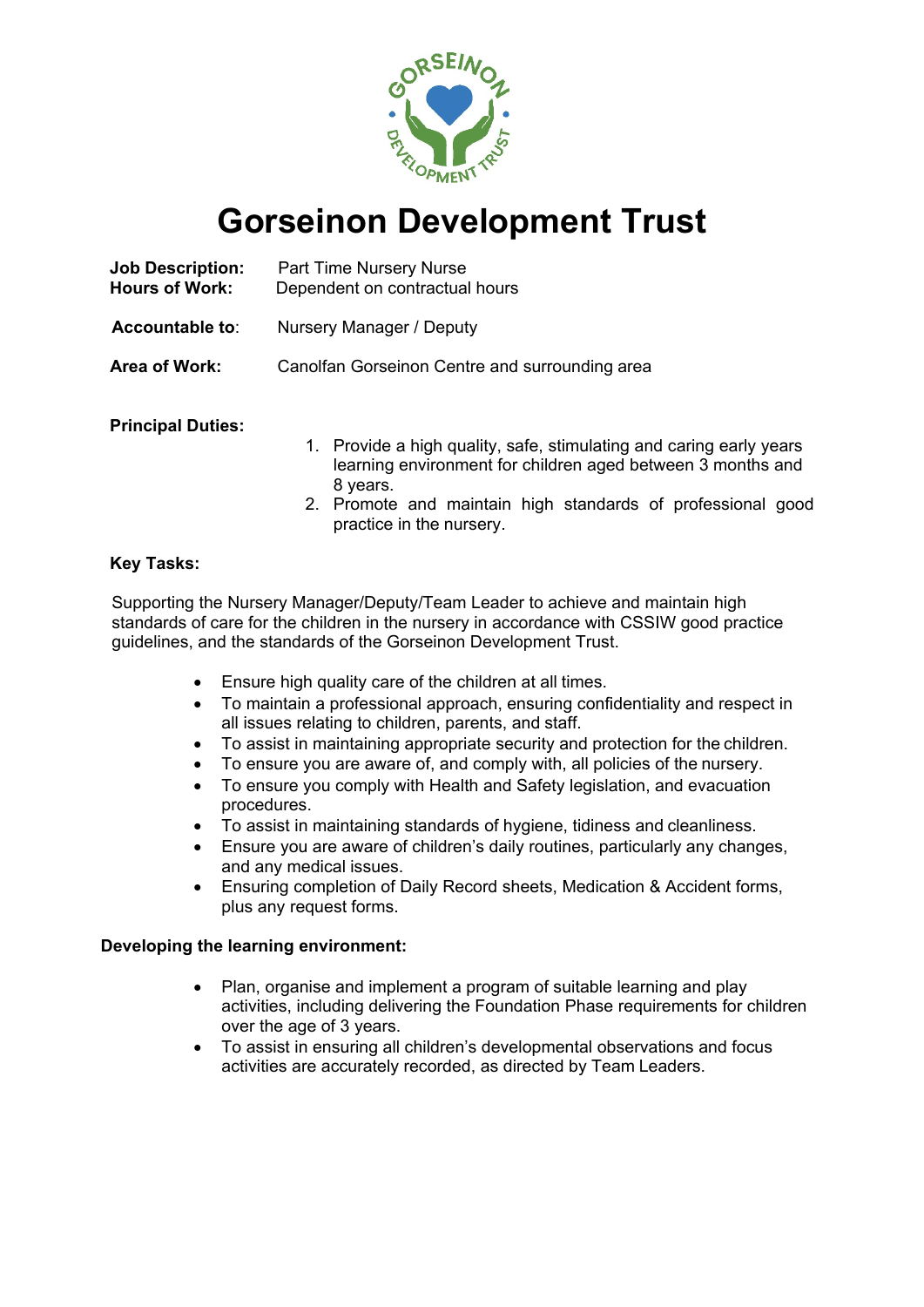

# **Gorseinon Development Trust**

| <b>Job Description:</b><br><b>Hours of Work:</b> | Part Time Nursery Nurse<br>Dependent on contractual hours |
|--------------------------------------------------|-----------------------------------------------------------|
| <b>Accountable to:</b>                           | Nursery Manager / Deputy                                  |
| Area of Work:                                    | Canolfan Gorseinon Centre and surrounding area            |
|                                                  |                                                           |

### **Principal Duties:**

- 1. Provide a high quality, safe, stimulating and caring early years learning environment for children aged between 3 months and 8 years.
- 2. Promote and maintain high standards of professional good practice in the nursery.

# **Key Tasks:**

Supporting the Nursery Manager/Deputy/Team Leader to achieve and maintain high standards of care for the children in the nursery in accordance with CSSIW good practice guidelines, and the standards of the Gorseinon Development Trust.

- Ensure high quality care of the children at all times.
- To maintain a professional approach, ensuring confidentiality and respect in all issues relating to children, parents, and staff.
- To assist in maintaining appropriate security and protection for the children.
- To ensure you are aware of, and comply with, all policies of the nursery.
- To ensure you comply with Health and Safety legislation, and evacuation procedures.
- To assist in maintaining standards of hygiene, tidiness and cleanliness.
- Ensure you are aware of children's daily routines, particularly any changes, and any medical issues.
- Ensuring completion of Daily Record sheets, Medication & Accident forms, plus any request forms.

### **Developing the learning environment:**

- Plan, organise and implement a program of suitable learning and play activities, including delivering the Foundation Phase requirements for children over the age of 3 years.
- To assist in ensuring all children's developmental observations and focus activities are accurately recorded, as directed by Team Leaders.